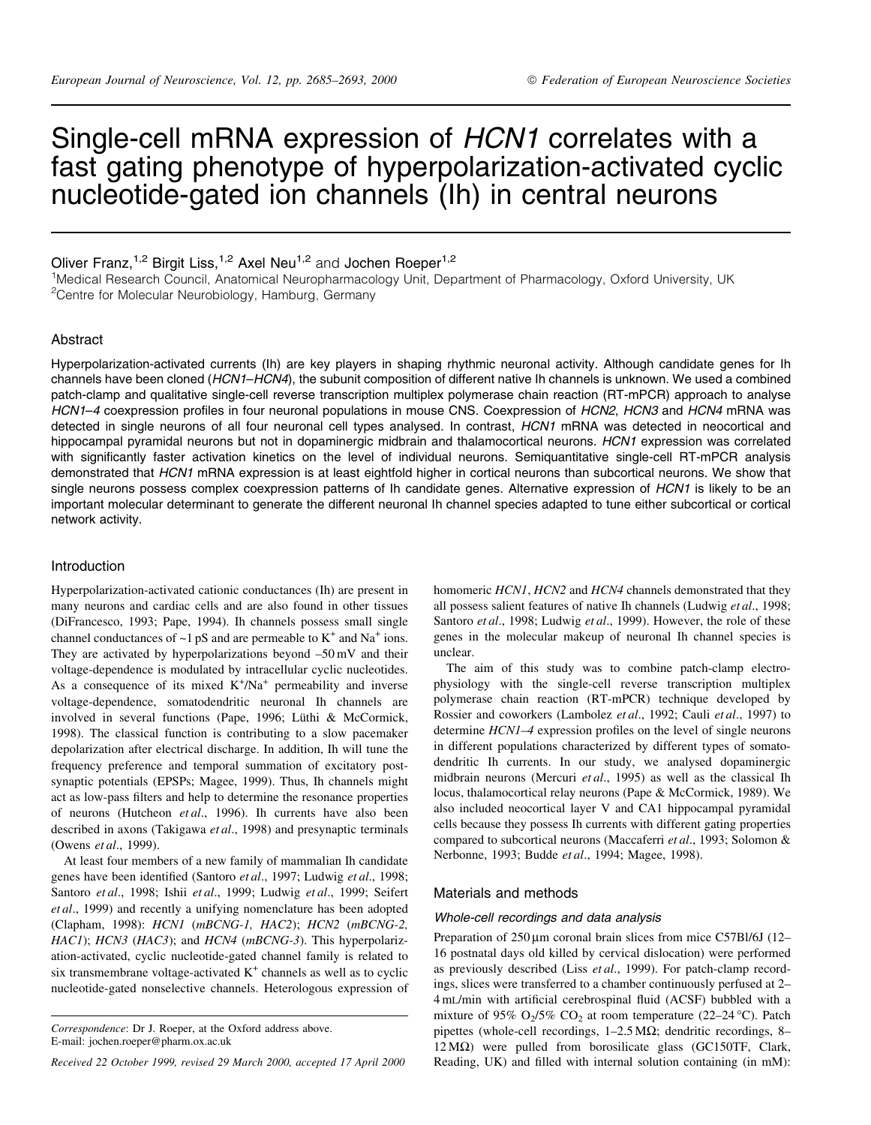# Single-cell mRNA expression of HCN1 correlates with a fast gating phenotype of hyperpolarization-activated cyclic nucleotide-gated ion channels (Ih) in central neurons

# Oliver Franz,<sup>1,2</sup> Birgit Liss,<sup>1,2</sup> Axel Neu<sup>1,2</sup> and Jochen Roeper<sup>1,2</sup>

<sup>1</sup>Medical Research Council, Anatomical Neuropharmacology Unit, Department of Pharmacology, Oxford University, UK <sup>2</sup>Centre for Molecular Neurobiology, Hamburg, Germany

## Abstract

Hyperpolarization-activated currents (Ih) are key players in shaping rhythmic neuronal activity. Although candidate genes for Ih channels have been cloned (HCN1-HCN4), the subunit composition of different native Ih channels is unknown. We used a combined patch-clamp and qualitative single-cell reverse transcription multiplex polymerase chain reaction (RT-mPCR) approach to analyse HCN1-4 coexpression profiles in four neuronal populations in mouse CNS. Coexpression of HCN2, HCN3 and HCN4 mRNA was detected in single neurons of all four neuronal cell types analysed. In contrast, HCN1 mRNA was detected in neocortical and hippocampal pyramidal neurons but not in dopaminergic midbrain and thalamocortical neurons. HCN1 expression was correlated with significantly faster activation kinetics on the level of individual neurons. Semiguantitative single-cell RT-mPCR analysis demonstrated that HCN1 mRNA expression is at least eightfold higher in cortical neurons than subcortical neurons. We show that single neurons possess complex coexpression patterns of Ih candidate genes. Alternative expression of HCN1 is likely to be an important molecular determinant to generate the different neuronal Ih channel species adapted to tune either subcortical or cortical network activity.

#### Introduction

Hyperpolarization-activated cationic conductances (Ih) are present in many neurons and cardiac cells and are also found in other tissues (DiFrancesco, 1993; Pape, 1994). Ih channels possess small single channel conductances of  $\sim$ 1 pS and are permeable to K<sup>+</sup> and Na<sup>+</sup> ions. They are activated by hyperpolarizations beyond  $-50 \text{ mV}$  and their voltage-dependence is modulated by intracellular cyclic nucleotides. As a consequence of its mixed  $K^+/Na^+$  permeability and inverse voltage-dependence, somatodendritic neuronal Ih channels are involved in several functions (Pape, 1996; Lüthi & McCormick, 1998). The classical function is contributing to a slow pacemaker depolarization after electrical discharge. In addition, Ih will tune the frequency preference and temporal summation of excitatory postsynaptic potentials (EPSPs; Magee, 1999). Thus, Ih channels might act as low-pass filters and help to determine the resonance properties of neurons (Hutcheon et al., 1996). Ih currents have also been described in axons (Takigawa et al., 1998) and presynaptic terminals (Owens et al., 1999).

At least four members of a new family of mammalian Ih candidate genes have been identified (Santoro et al., 1997; Ludwig et al., 1998; Santoro et al., 1998; Ishii et al., 1999; Ludwig et al., 1999; Seifert et al., 1999) and recently a unifying nomenclature has been adopted (Clapham, 1998): HCN1 (mBCNG-1, HAC2); HCN2 (mBCNG-2, HAC1); HCN3 (HAC3); and HCN4 (mBCNG-3). This hyperpolarization-activated, cyclic nucleotide-gated channel family is related to six transmembrane voltage-activated  $K^+$  channels as well as to cyclic nucleotide-gated nonselective channels. Heterologous expression of

Received 22 October 1999, revised 29 March 2000, accepted 17 April 2000

homomeric HCN1, HCN2 and HCN4 channels demonstrated that they all possess salient features of native Ih channels (Ludwig et al., 1998; Santoro et al., 1998; Ludwig et al., 1999). However, the role of these genes in the molecular makeup of neuronal Ih channel species is unclear.

The aim of this study was to combine patch-clamp electrophysiology with the single-cell reverse transcription multiplex polymerase chain reaction (RT-mPCR) technique developed by Rossier and coworkers (Lambolez et al., 1992; Cauli et al., 1997) to determine HCN1-4 expression profiles on the level of single neurons in different populations characterized by different types of somatodendritic Ih currents. In our study, we analysed dopaminergic midbrain neurons (Mercuri et al., 1995) as well as the classical Ih locus, thalamocortical relay neurons (Pape & McCormick, 1989). We also included neocortical layer V and CA1 hippocampal pyramidal cells because they possess Ih currents with different gating properties compared to subcortical neurons (Maccaferri et al., 1993; Solomon & Nerbonne, 1993; Budde et al., 1994; Magee, 1998).

#### Materials and methods

#### Whole-cell recordings and data analysis

Preparation of 250 um coronal brain slices from mice C57Bl/6J (12– 16 postnatal days old killed by cervical dislocation) were performed as previously described (Liss et al., 1999). For patch-clamp recordings, slices were transferred to a chamber continuously perfused at 2-4 mL/min with artificial cerebrospinal fluid (ACSF) bubbled with a mixture of 95%  $O_2/5\%$  CO<sub>2</sub> at room temperature (22–24 °C). Patch pipettes (whole-cell recordings,  $1-2.5 \text{ M}\Omega$ ; dendritic recordings, 8- $12\,\text{M}\Omega$ ) were pulled from borosilicate glass (GC150TF, Clark, Reading, UK) and filled with internal solution containing (in mM):

Correspondence: Dr J. Roeper, at the Oxford address above. E-mail: jochen.roeper@pharm.ox.ac.uk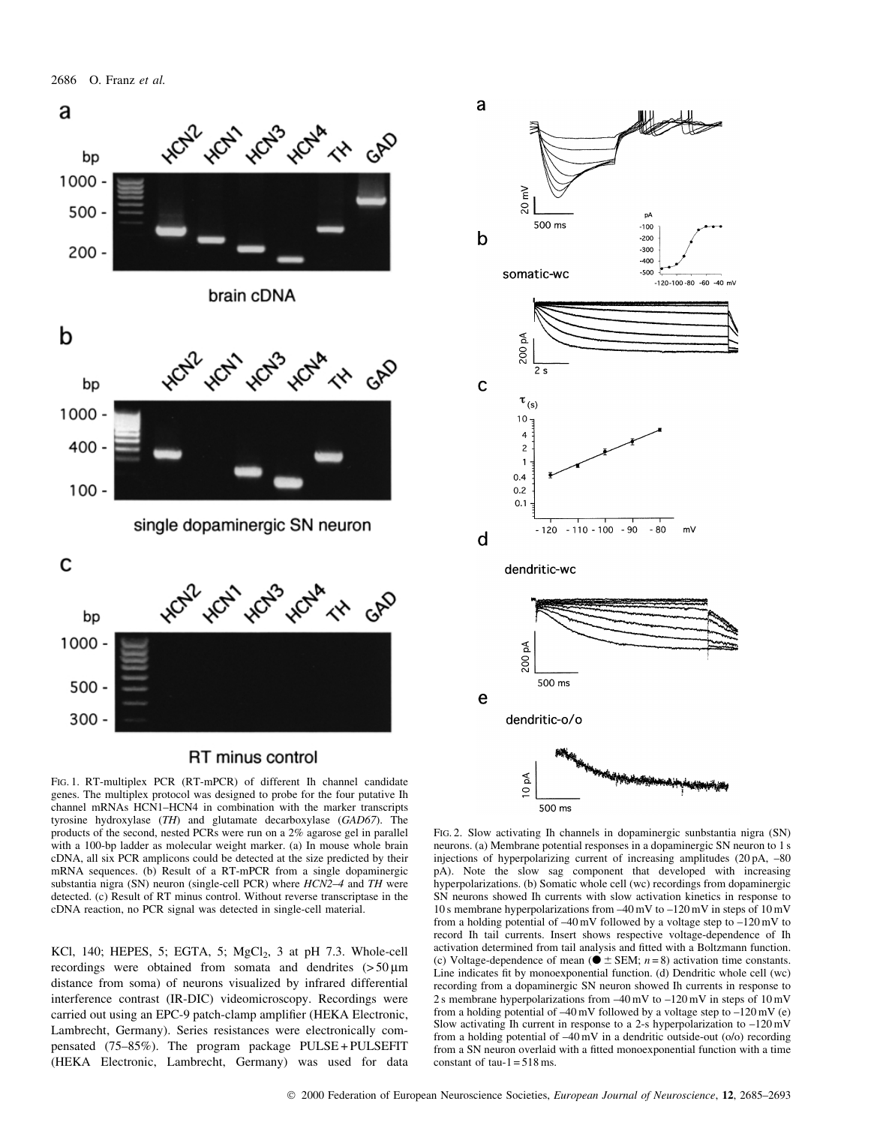

# **RT** minus control

FIG. 1. RT-multiplex PCR (RT-mPCR) of different Ih channel candidate genes. The multiplex protocol was designed to probe for the four putative Ih channel mRNAs HCN1-HCN4 in combination with the marker transcripts tyrosine hydroxylase (TH) and glutamate decarboxylase (GAD67). The products of the second, nested PCRs were run on a 2% agarose gel in parallel with a 100-bp ladder as molecular weight marker. (a) In mouse whole brain cDNA, all six PCR amplicons could be detected at the size predicted by their mRNA sequences. (b) Result of a RT-mPCR from a single dopaminergic substantia nigra (SN) neuron (single-cell PCR) where HCN2-4 and TH were detected. (c) Result of RT minus control. Without reverse transcriptase in the cDNA reaction, no PCR signal was detected in single-cell material.

KCl, 140; HEPES, 5; EGTA, 5; MgCl<sub>2</sub>, 3 at pH 7.3. Whole-cell recording were obtained from somata and dendrites  $(50 \text{ nm})$ distance from soma) of neurons visualized by infrared differential interference contrast (IR-DIC) videomicroscopy. Recordings were carried out using an EPC-9 patch-clamp amplifier (HEKA Electronic, Lambrecht, Germany). Series resistances were electronically compensated (75-85%). The program package PULSE+PULSEFIT (HEKA Electronic, Lambrecht, Germany) was used for data



FIG. 2. Slow activating Ih channels in dopaminergic sunbstantia nigra (SN) neurons. (a) Membrane potential responses in a dopaminergic SN neuron to 1 s injections of hyperpolarizing current of increasing amplitudes (20 pA, -80) pA). Note the slow sag component that developed with increasing hyperpolarizations. (b) Somatic whole cell (wc) recordings from dopaminergic SN neurons showed Ih currents with slow activation kinetics in response to 10 s membrane hyperpolarizations from  $-40$  mV to  $-120$  mV in steps of 10 mV from a holding potential of  $-40 \text{ mV}$  followed by a voltage step to  $-120 \text{ mV}$  to record Ih tail currents. Insert shows respective voltage-dependence of Ih activation determined from tail analysis and fitted with a Boltzmann function. (c) Voltage-dependence of mean ( $\bullet \pm$  SEM; *n* = 8) activation time constants. Line indicates fit by monoexponential function. (d) Dendritic whole cell (wc) recording from a dopaminergic SN neuron showed Ih currents in response to 2 s membrane hyperpolarizations from  $-40$  mV to  $-120$  mV in steps of  $10$  mV from a holding potential of  $-40 \text{ mV}$  followed by a voltage step to  $-120 \text{ mV}$  (e) Slow activating Ih current in response to a 2-s hyperpolarization to  $-120 \text{ mV}$ from a holding potential of  $-40 \text{ mV}$  in a dendritic outside-out (o/o) recording from a SN neuron overlaid with a fitted monoexponential function with a time constant of  $tau-1 = 518$  ms.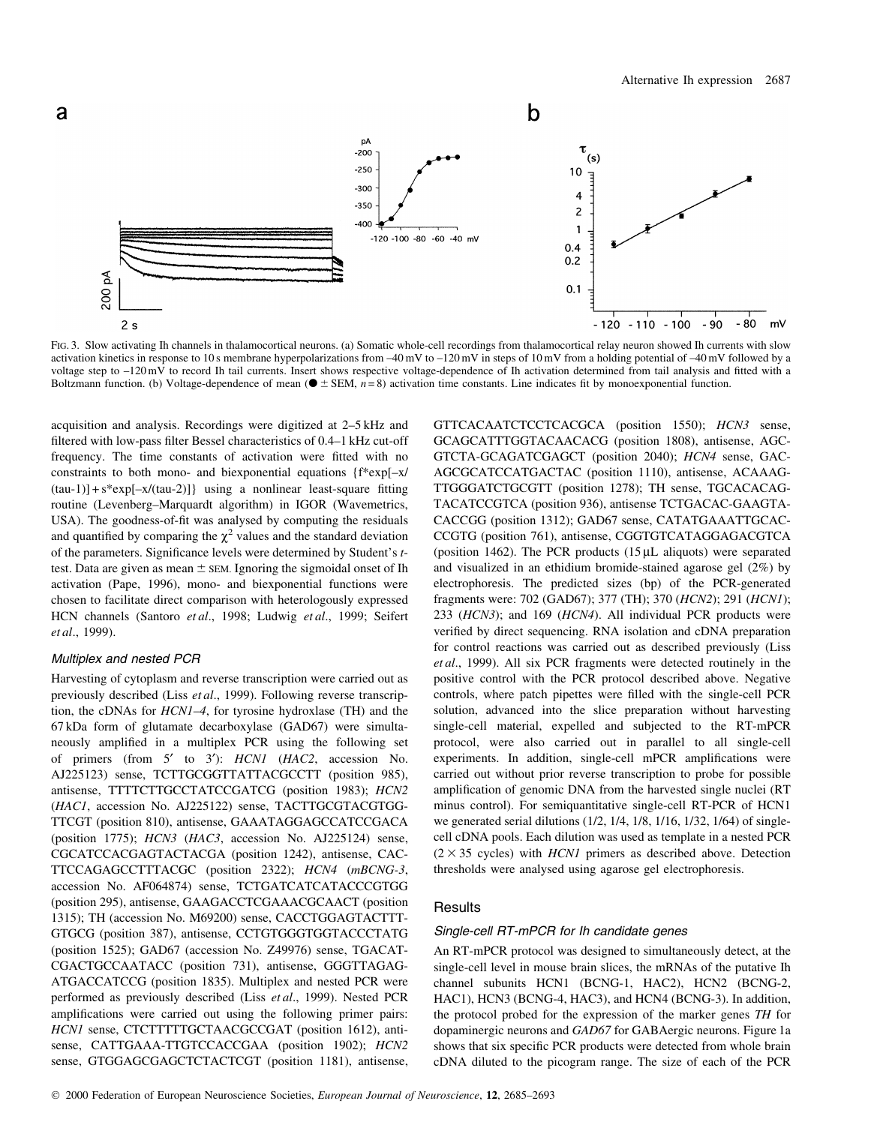

Fig. 3. Slow activating Ih channels in thalamocortical neurons. (a) Somatic whole-cell recordings from thalamocortical relay neuron showed Ih currents with slow activation kinetics in response to 10s membrane hyperpolarizations from  $-40$  mV to  $-120$  mV in steps of 10 mV from a holding potential of  $-40$  mV followed by a voltage step to  $-120 \text{ mV}$  to record In tail currents. Insert shows respective voltage-dependence of In activation determined from tail analysis and fitted with a Boltzmann function. (b) Voltage-dependence of mean ( $\bullet \pm$  SEM,  $n=8$ ) activation time constants. Line indicates fit by monoexponential function.

acquisition and analysis. Recordings were digitized at 2–5 kHz and filtered with low-pass filter Bessel characteristics of 0.4-1 kHz cut-off frequency. The time constants of activation were fitted with no constraints to both mono- and biexponential equations {f\*exp[-x/  $(tau-1)$ ] + s\*exp[-x/(tau-2)]} using a nonlinear least-square fitting routine (Levenberg-Marquardt algorithm) in IGOR (Wavemetrics, USA). The goodness-of-fit was analysed by computing the residuals and quantified by comparing the  $\chi^2$  values and the standard deviation of the parameters. Significance levels were determined by Student's ttest. Data are given as mean  $\pm$  SEM. Ignoring the sigmoidal onset of Ih activation (Pape, 1996), mono- and biexponential functions were chosen to facilitate direct comparison with heterologously expressed HCN channels (Santoro et al., 1998; Ludwig et al., 1999; Seifert et al., 1999).

### Multiplex and nested PCR

Harvesting of cytoplasm and reverse transcription were carried out as previously described (Liss et al., 1999). Following reverse transcription, the cDNAs for *HCN1–4*, for tyrosine hydroxlase (TH) and the 67 kDa form of glutamate decarboxylase (GAD67) were simultaneously amplified in a multiplex PCR using the following set of primers (from 5' to 3'): HCN1 (HAC2, accession No. AJ225123) sense, TCTTGCGGTTATTACGCCTT (position 985), antisense, TTTTCTTGCCTATCCGATCG (position 1983); HCN2 (HAC1, accession No. AJ225122) sense, TACTTGCGTACGTGG-TTCGT (position 810), antisense, GAAATAGGAGCCATCCGACA (position 1775); HCN3 (HAC3, accession No. AJ225124) sense, CGCATCCACGAGTACTACGA (position 1242), antisense, CAC-TTCCAGAGCCTTTACGC (position 2322); HCN4 (mBCNG-3, accession No. AF064874) sense, TCTGATCATCATACCCGTGG (position 295), antisense, GAAGACCTCGAAACGCAACT (position 1315); TH (accession No. M69200) sense, CACCTGGAGTACTTT-GTGCG (position 387), antisense, CCTGTGGGTGGTACCCTATG (position 1525); GAD67 (accession No. Z49976) sense, TGACAT-CGACTGCCAATACC (position 731), antisense, GGGTTAGAG-ATGACCATCCG (position 1835). Multiplex and nested PCR were performed as previously described (Liss et al., 1999). Nested PCR amplifications were carried out using the following primer pairs: HCN1 sense, CTCTTTTTGCTAACGCCGAT (position 1612), antisense, CATTGAAA-TTGTCCACCGAA (position 1902); HCN2 sense, GTGGAGCGAGCTCTACTCGT (position 1181), antisense,

GTTCACAATCTCCTCACGCA (position 1550); HCN3 sense, GCAGCATTTGGTACAACACG (position 1808), antisense, AGC-GTCTA-GCAGATCGAGCT (position 2040); HCN4 sense, GAC-AGCGCATCCATGACTAC (position 1110), antisense, ACAAAG-TTGGGATCTGCGTT (position 1278); TH sense, TGCACACAG-TACATCCGTCA (position 936), antisense TCTGACAC-GAAGTA-CACCGG (position 1312); GAD67 sense, CATATGAAATTGCAC-CCGTG (position 761), antisense, CGGTGTCATAGGAGACGTCA (position 1462). The PCR products  $(15 \mu L)$  aliquots) were separated and visualized in an ethidium bromide-stained agarose gel  $(2\%)$  by electrophoresis. The predicted sizes (bp) of the PCR-generated fragments were: 702 (GAD67); 377 (TH); 370 (HCN2); 291 (HCN1); 233 (HCN3); and 169 (HCN4). All individual PCR products were verified by direct sequencing. RNA isolation and cDNA preparation for control reactions was carried out as described previously (Liss et al., 1999). All six PCR fragments were detected routinely in the positive control with the PCR protocol described above. Negative controls, where patch pipettes were filled with the single-cell PCR solution, advanced into the slice preparation without harvesting single-cell material, expelled and subjected to the RT-mPCR protocol, were also carried out in parallel to all single-cell experiments. In addition, single-cell mPCR amplifications were carried out without prior reverse transcription to probe for possible amplification of genomic DNA from the harvested single nuclei (RT minus control). For semiquantitative single-cell RT-PCR of HCN1 we generated serial dilutions (1/2, 1/4, 1/8, 1/16, 1/32, 1/64) of singlecell cDNA pools. Each dilution was used as template in a nested PCR  $(2 \times 35$  cycles) with *HCN1* primers as described above. Detection thresholds were analysed using agarose gel electrophoresis.

#### **Results**

#### Single-cell RT-mPCR for Ih candidate genes

An RT-mPCR protocol was designed to simultaneously detect, at the single-cell level in mouse brain slices, the mRNAs of the putative Ih channel subunits HCN1 (BCNG-1, HAC2), HCN2 (BCNG-2, HAC1), HCN3 (BCNG-4, HAC3), and HCN4 (BCNG-3). In addition, the protocol probed for the expression of the marker genes TH for dopaminergic neurons and GAD67 for GABAergic neurons. Figure 1a shows that six specific PCR products were detected from whole brain cDNA diluted to the picogram range. The size of each of the PCR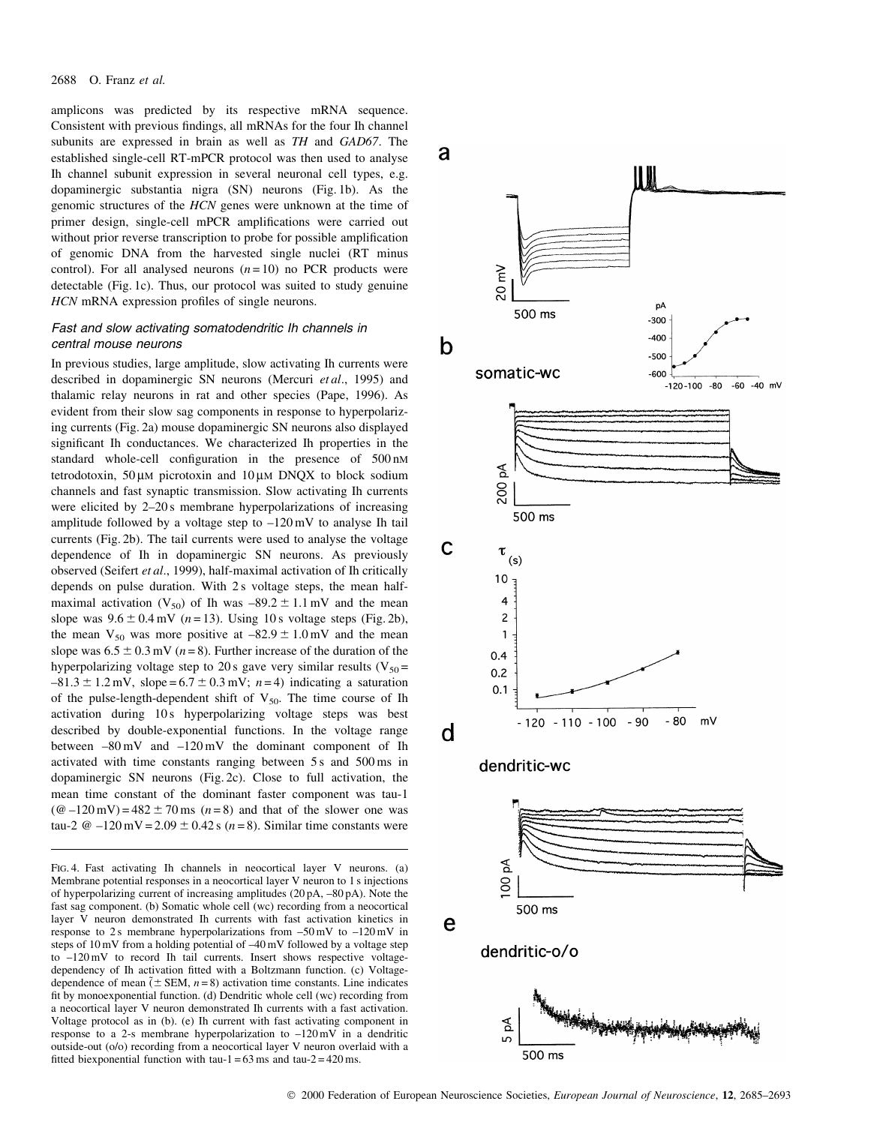amplicons was predicted by its respective mRNA sequence. Consistent with previous findings, all mRNAs for the four Ih channel subunits are expressed in brain as well as TH and GAD67. The established single-cell RT-mPCR protocol was then used to analyse Ih channel subunit expression in several neuronal cell types, e.g. dopaminergic substantia nigra (SN) neurons (Fig. 1b). As the genomic structures of the *HCN* genes were unknown at the time of primer design, single-cell mPCR amplifications were carried out without prior reverse transcription to probe for possible amplification of genomic DNA from the harvested single nuclei (RT minus control). For all analysed neurons  $(n=10)$  no PCR products were detectable (Fig. 1c). Thus, our protocol was suited to study genuine HCN mRNA expression profiles of single neurons.

### Fast and slow activating somatodendritic Ih channels in central mouse neurons

In previous studies, large amplitude, slow activating Ih currents were described in dopaminergic SN neurons (Mercuri et al., 1995) and thalamic relay neurons in rat and other species (Pape, 1996). As evident from their slow sag components in response to hyperpolarizing currents (Fig. 2a) mouse dopaminergic SN neurons also displayed significant Ih conductances. We characterized Ih properties in the standard whole-cell configuration in the presence of 500 nM tetrodotoxin,  $50 \mu M$  picrotoxin and  $10 \mu M$  DNQX to block sodium channels and fast synaptic transmission. Slow activating Ih currents were elicited by  $2-20s$  membrane hyperpolarizations of increasing amplitude followed by a voltage step to  $-120 \text{ mV}$  to analyse Ih tail currents (Fig. 2b). The tail currents were used to analyse the voltage dependence of Ih in dopaminergic SN neurons. As previously observed (Seifert et al., 1999), half-maximal activation of Ih critically depends on pulse duration. With 2s voltage steps, the mean halfmaximal activation (V<sub>50</sub>) of Ih was  $-89.2 \pm 1.1$  mV and the mean slope was  $9.6 \pm 0.4$  mV ( $n = 13$ ). Using 10s voltage steps (Fig. 2b), the mean  $V_{50}$  was more positive at  $-82.9 \pm 1.0$  mV and the mean slope was  $6.5 \pm 0.3$  mV ( $n = 8$ ). Further increase of the duration of the hyperpolarizing voltage step to 20s gave very similar results ( $V_{50}$  =  $-81.3 \pm 1.2$  mV, slope = 6.7  $\pm$  0.3 mV; n = 4) indicating a saturation of the pulse-length-dependent shift of  $V_{50}$ . The time course of Ih activation during 10s hyperpolarizing voltage steps was best described by double-exponential functions. In the voltage range between  $-80 \text{ mV}$  and  $-120 \text{ mV}$  the dominant component of Ih activated with time constants ranging between 5s and 500 ms in dopaminergic SN neurons (Fig. 2c). Close to full activation, the mean time constant of the dominant faster component was tau-1  $(\omega - 120 \text{ mV}) = 482 \pm 70 \text{ ms}$  ( $n = 8$ ) and that of the slower one was tau-2 @  $-120$  mV = 2.09  $\pm$  0.42 s (n = 8). Similar time constants were

FIG. 4. Fast activating Ih channels in neocortical layer V neurons. (a) Membrane potential responses in a neocortical layer V neuron to 1 s injections of hyperpolarizing current of increasing amplitudes (20 pA, -80 pA). Note the fast sag component. (b) Somatic whole cell (wc) recording from a neocortical layer V neuron demonstrated Ih currents with fast activation kinetics in response to 2s membrane hyperpolarizations from  $-50$  mV to  $-120$  mV in steps of 10 mV from a holding potential of -40 mV followed by a voltage step to  $-120 \text{ mV}$  to record Ih tail currents. Insert shows respective voltagedependency of Ih activation fitted with a Boltzmann function. (c) Voltagedependence of mean  $(\pm$  SEM,  $n=8)$  activation time constants. Line indicates fit by monoexponential function. (d) Dendritic whole cell (wc) recording from a neocortical layer V neuron demonstrated Ih currents with a fast activation. Voltage protocol as in (b). (e) Ih current with fast activating component in response to a 2-s membrane hyperpolarization to  $-120$  mV in a dendritic outside-out (o/o) recording from a neocortical layer V neuron overlaid with a fitted biexponential function with tau-1 =  $63 \text{ ms}$  and tau-2 =  $420 \text{ ms}$ .

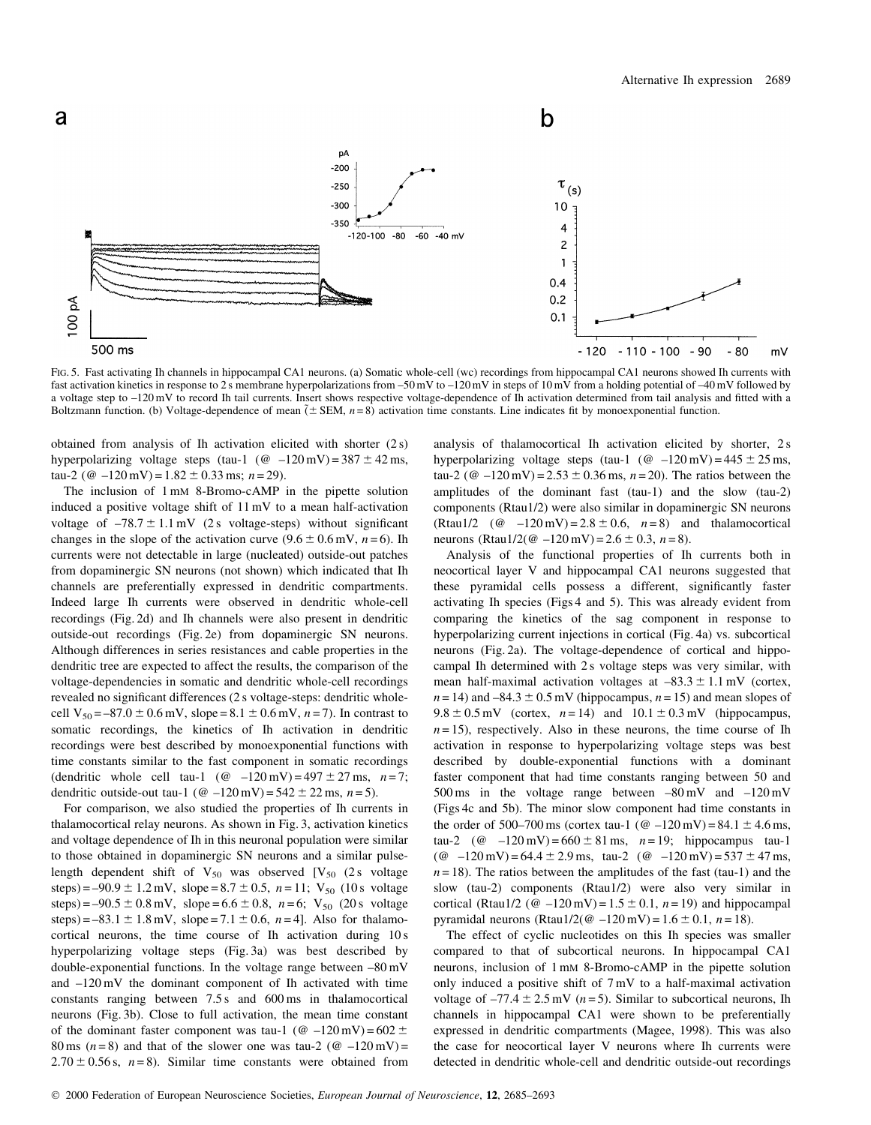

FIG. 5. Fast activating Ih channels in hippocampal CA1 neurons. (a) Somatic whole-cell (wc) recordings from hippocampal CA1 neurons showed Ih currents with fast activation kinetics in response to 2s membrane hyperpolarizations from -50 mV to -120 mV in steps of 10 mV from a holding potential of -40 mV followed by a voltage step to -120 mV to record Ih tail currents. Insert shows respective voltage-dependence of Ih activation determined from tail analysis and fitted with a Boltzmann function. (b) Voltage-dependence of mean  $\tilde{f}$  SEM,  $n=8$ ) activation time constants. Line indicates fit by monoexponential function.

obtained from analysis of Ih activation elicited with shorter  $(2 s)$ hyperpolarizing voltage steps (tau-1 ( $\omega$  -120 mV) = 387  $\pm$  42 ms, tau-2 ( $\omega$  -120 mV) = 1.82  $\pm$  0.33 ms; n = 29).

The inclusion of 1 mM 8-Bromo-cAMP in the pipette solution induced a positive voltage shift of 11 mV to a mean half-activation voltage of  $-78.7 \pm 1.1$  mV (2s voltage-steps) without significant changes in the slope of the activation curve  $(9.6 \pm 0.6 \text{ mV}, n=6)$ . Ih currents were not detectable in large (nucleated) outside-out patches from dopaminergic SN neurons (not shown) which indicated that Ih channels are preferentially expressed in dendritic compartments. Indeed large Ih currents were observed in dendritic whole-cell recordings (Fig. 2d) and Ih channels were also present in dendritic outside-out recordings (Fig. 2e) from dopaminergic SN neurons. Although differences in series resistances and cable properties in the dendritic tree are expected to affect the results, the comparison of the voltage-dependencies in somatic and dendritic whole-cell recordings revealed no significant differences (2 s voltage-steps: dendritic wholecell V<sub>50</sub> = -87.0 ± 0.6 mV, slope = 8.1 ± 0.6 mV,  $n = 7$ ). In contrast to somatic recordings, the kinetics of Ih activation in dendritic recordings were best described by monoexponential functions with time constants similar to the fast component in somatic recordings (dendritic whole cell tau-1 ( $@ -120 \text{ mV} = 497 \pm 27 \text{ ms}, n = 7$ ; dendritic outside-out tau-1 ( $\omega$  -120 mV) = 542  $\pm$  22 ms, n = 5).

For comparison, we also studied the properties of Ih currents in thalamocortical relay neurons. As shown in Fig. 3, activation kinetics and voltage dependence of Ih in this neuronal population were similar to those obtained in dopaminergic SN neurons and a similar pulselength dependent shift of  $V_{50}$  was observed [ $V_{50}$  (2s voltage steps) = -90.9 ± 1.2 mV, slope = 8.7 ± 0.5, n = 11;  $V_{50}$  (10 s voltage steps) = -90.5 ± 0.8 mV, slope = 6.6 ± 0.8,  $n=6$ ; V<sub>50</sub> (20 s voltage steps) = -83.1  $\pm$  1.8 mV, slope = 7.1  $\pm$  0.6, n = 4]. Also for thalamocortical neurons, the time course of Ih activation during 10s hyperpolarizing voltage steps (Fig. 3a) was best described by double-exponential functions. In the voltage range between  $-80 \text{ mV}$ and  $-120 \,\mathrm{mV}$  the dominant component of Ih activated with time constants ranging between 7.5 s and 600 ms in thalamocortical neurons (Fig. 3b). Close to full activation, the mean time constant of the dominant faster component was tau-1 ( $\omega$  -120 mV) = 602  $\pm$ 80 ms ( $n=8$ ) and that of the slower one was tau-2 ( $\omega$  -120 mV) =  $2.70 \pm 0.56$  s,  $n=8$ ). Similar time constants were obtained from analysis of thalamocortical Ih activation elicited by shorter, 2 s hyperpolarizing voltage steps (tau-1 ( $\omega$  -120 mV) = 445  $\pm$  25 ms, tau-2 ( $\omega$  -120 mV) = 2.53 ± 0.36 ms, n = 20). The ratios between the amplitudes of the dominant fast (tau-1) and the slow (tau-2) components (Rtau1/2) were also similar in dopaminergic SN neurons (Rtau1/2 (@  $-120$  mV) = 2.8  $\pm$  0.6, n = 8) and thalamocortical neurons (Rtau1/2( $\omega$  -120 mV) = 2.6 ± 0.3, n = 8).

Analysis of the functional properties of Ih currents both in neocortical layer V and hippocampal CA1 neurons suggested that these pyramidal cells possess a different, significantly faster activating Ih species (Figs 4 and 5). This was already evident from comparing the kinetics of the sag component in response to hyperpolarizing current injections in cortical (Fig. 4a) vs. subcortical neurons (Fig. 2a). The voltage-dependence of cortical and hippocampal Ih determined with 2s voltage steps was very similar, with mean half-maximal activation voltages at  $-83.3 \pm 1.1$  mV (cortex,  $n = 14$ ) and  $-84.3 \pm 0.5$  mV (hippocampus,  $n = 15$ ) and mean slopes of  $9.8 \pm 0.5$  mV (cortex,  $n = 14$ ) and  $10.1 \pm 0.3$  mV (hippocampus,  $n=15$ ), respectively. Also in these neurons, the time course of Ih activation in response to hyperpolarizing voltage steps was best described by double-exponential functions with a dominant faster component that had time constants ranging between 50 and 500 ms in the voltage range between  $-80 \text{ mV}$  and  $-120 \text{ mV}$ (Figs 4c and 5b). The minor slow component had time constants in the order of 500–700 ms (cortex tau-1 ( $\omega$  –120 mV) = 84.1  $\pm$  4.6 ms, tau-2 (@  $-120 \text{ mV}$ ) = 660 ± 81 ms,  $n = 19$ ; hippocampus tau-1 (@  $-120 \text{ mV}$ ) = 64.4 ± 2.9 ms, tau-2 (@  $-120 \text{ mV}$ ) = 537 ± 47 ms,  $n = 18$ ). The ratios between the amplitudes of the fast (tau-1) and the slow (tau-2) components (Rtau1/2) were also very similar in cortical (Rtau1/2 ( $\omega$  -120 mV) = 1.5  $\pm$  0.1, n = 19) and hippocampal pyramidal neurons (Rtau1/2( $@ -120$  mV) = 1.6  $\pm$  0.1, n = 18).

The effect of cyclic nucleotides on this Ih species was smaller compared to that of subcortical neurons. In hippocampal CA1 neurons, inclusion of 1 mm 8-Bromo-cAMP in the pipette solution only induced a positive shift of 7 mV to a half-maximal activation voltage of  $-77.4 \pm 2.5$  mV ( $n=5$ ). Similar to subcortical neurons, Ih channels in hippocampal CA1 were shown to be preferentially expressed in dendritic compartments (Magee, 1998). This was also the case for neocortical layer V neurons where Ih currents were detected in dendritic whole-cell and dendritic outside-out recordings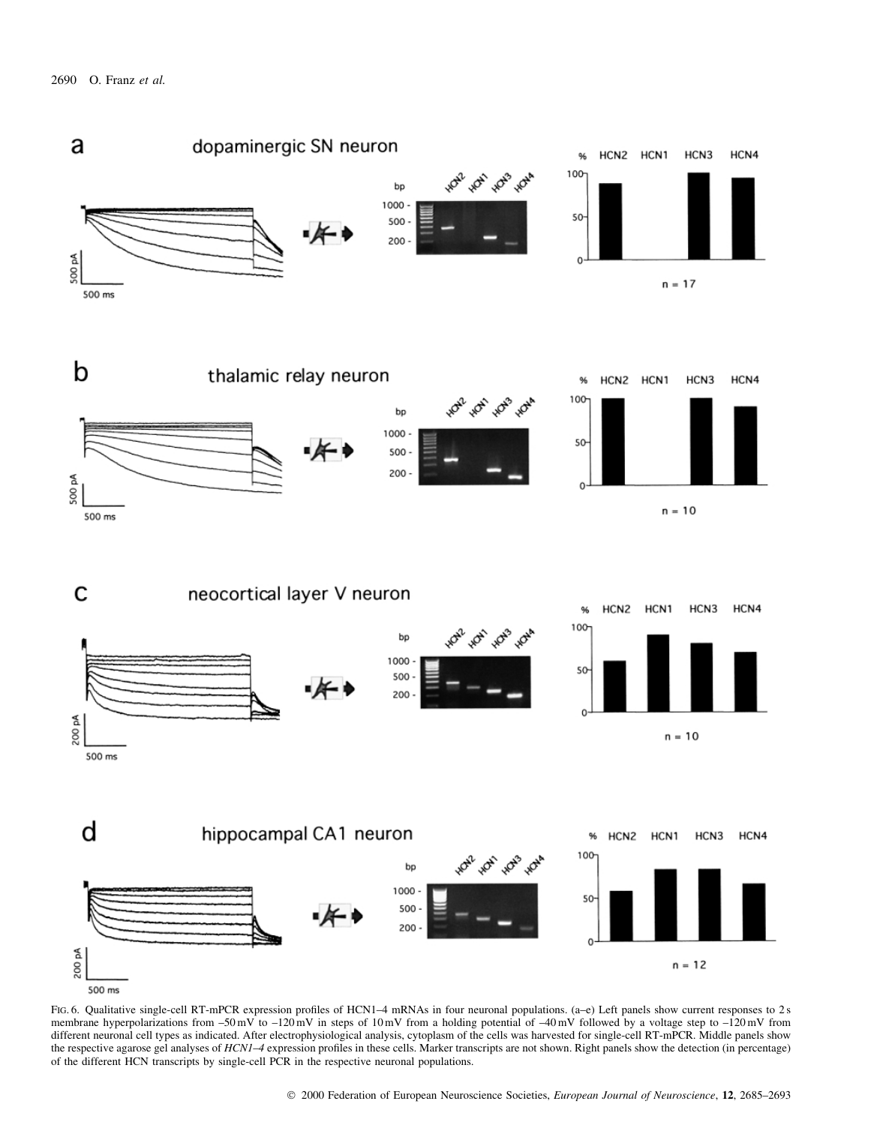

FIG. 6. Qualitative single-cell RT-mPCR expression profiles of HCN1-4 mRNAs in four neuronal populations. (a-e) Left panels show current responses to 2 s membrane hyperpolarizations from -50 mV to -120 mV in steps of 10 mV from a holding potential of -40 mV followed by a voltage step to -120 mV from different neuronal cell types as indicated. After electrophysiological analysis, cytoplasm of the cells was harvested for single-cell RT-mPCR. Middle panels show the respective agarose gel analyses of HCN1-4 expression profiles in these cells. Marker transcripts are not shown. Right panels show the detection (in percentage) of the different HCN transcripts by single-cell PCR in the respective neuronal populations.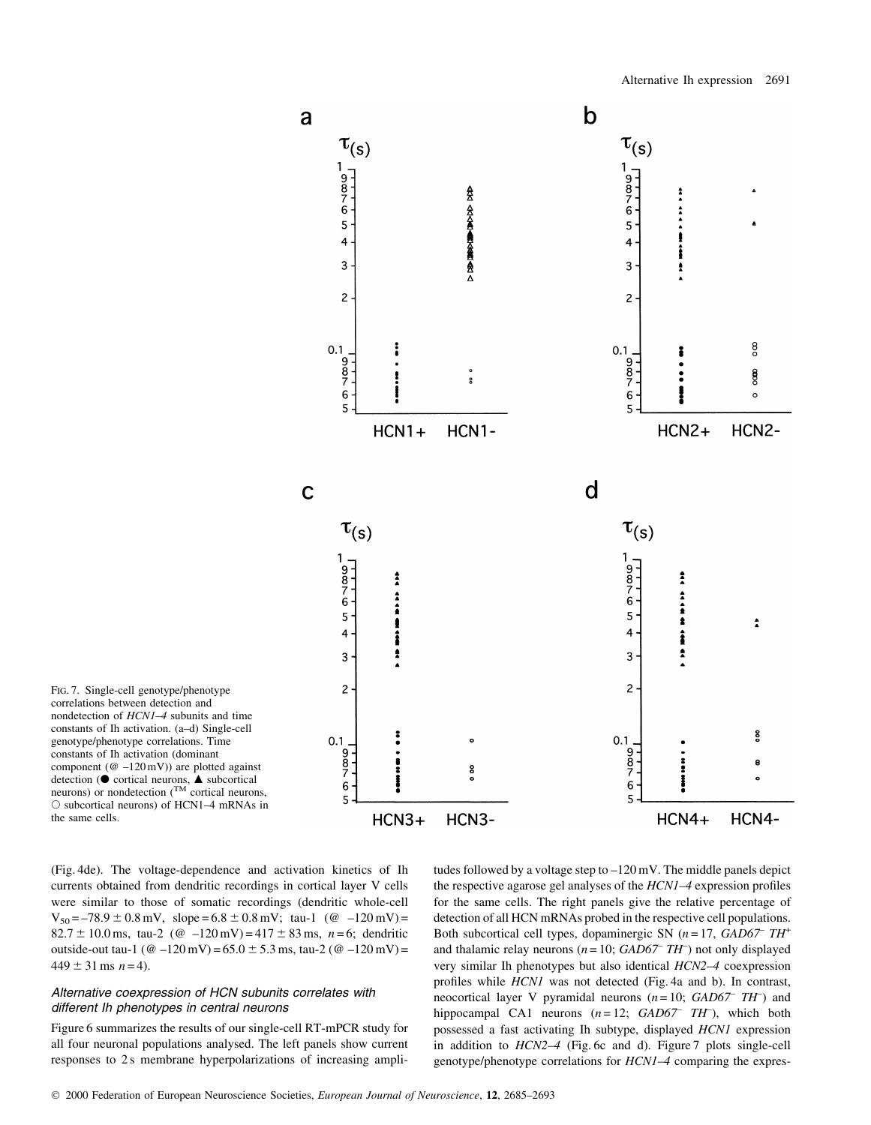

FIG. 7. Single-cell genotype/phenotype correlations between detection and nondetection of HCN1-4 subunits and time constants of Ih activation. (a-d) Single-cell genotype/phenotype correlations. Time constants of Ih activation (dominant component ( $@-120$  mV)) are plotted against detection ( $\bullet$  cortical neurons,  $\blacktriangle$  subcortical<br>neurons) or nondetection ( $^{TM}$  cortical neurons,  $\circ$  subcortical neurons) of HCN1-4 mRNAs in the same cells.

(Fig. 4de). The voltage-dependence and activation kinetics of Ih currents obtained from dendritic recordings in cortical layer V cells were similar to those of somatic recordings (dendritic whole-cell  $V_{50} = -78.9 \pm 0.8$  mV, slope = 6.8  $\pm$  0.8 mV; tau-1 (@ -120 mV) = 82.7 ± 10.0 ms, tau-2 ( $\textcircled{a}$  -120 mV) = 417 ± 83 ms, n = 6; dendritic outside-out tau-1 ( $@-120$  mV) = 65.0  $\pm$  5.3 ms, tau-2 ( $@-120$  mV) =  $449 \pm 31$  ms  $n = 4$ ).

# Alternative coexpression of HCN subunits correlates with different Ih phenotypes in central neurons

Figure 6 summarizes the results of our single-cell RT-mPCR study for all four neuronal populations analysed. The left panels show current responses to 2s membrane hyperpolarizations of increasing ampli-

tudes followed by a voltage step to  $-120$  mV. The middle panels depict the respective agarose gel analyses of the  $HCNI-4$  expression profiles for the same cells. The right panels give the relative percentage of detection of all HCN mRNAs probed in the respective cell populations. Both subcortical cell types, dopaminergic SN  $(n=17, \text{GAD67} \text{ TH}^+$ and thalamic relay neurons ( $n = 10$ ; GAD67<sup>-</sup> TH<sup>-</sup>) not only displayed very similar Ih phenotypes but also identical HCN2-4 coexpression profiles while *HCN1* was not detected (Fig. 4a and b). In contrast, neocortical layer V pyramidal neurons  $(n=10; \text{ GAD67} \text{ TH})$  and hippocampal CA1 neurons  $(n=12; \text{ GAD67} \text{ TH}^{-})$ , which both possessed a fast activating Ih subtype, displayed HCN1 expression in addition to *HCN2-4* (Fig. 6c and d). Figure 7 plots single-cell genotype/phenotype correlations for *HCN1-4* comparing the expres-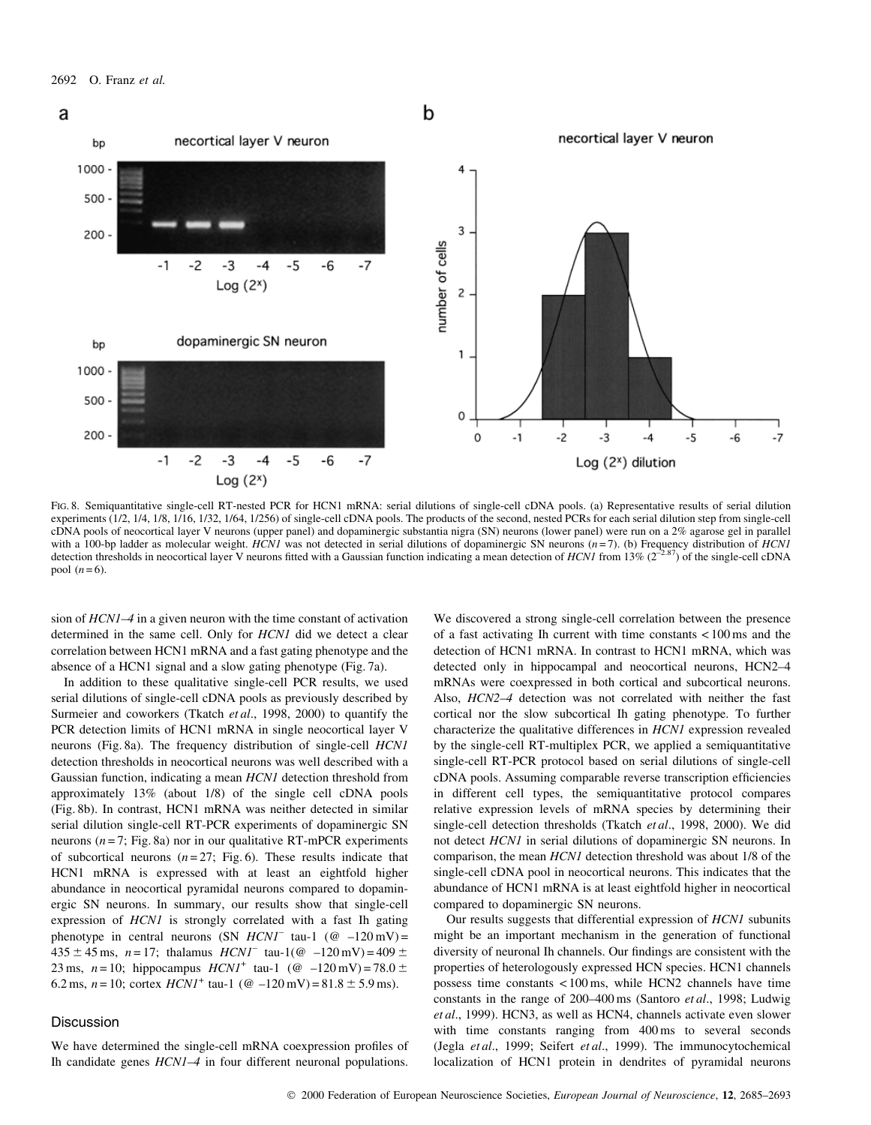

FIG. 8. Semiquantitative single-cell RT-nested PCR for HCN1 mRNA: serial dilutions of single-cell cDNA pools. (a) Representative results of serial dilution experiments (1/2, 1/4, 1/8, 1/16, 1/32, 1/64, 1/256) of single-cell cDNA pools. The products of the second, nested PCRs for each serial dilution step from single-cell cDNA pools of neocortical layer V neurons (upper panel) and dopaminergic substantia nigra (SN) neurons (lower panel) were run on a 2% agarose gel in parallel with a 100-bp ladder as molecular weight.  $HCNI$  was not detected in serial dilutions of dopaminergic SN neurons ( $n=7$ ). (b) Frequency distribution of  $HCNI$ detection thresholds in neocortical layer V neurons fitted with a Gaussian function indicating a mean detection of HCNI from 13%  $(2^{-2.87})$  of the single-cell cDNA pool  $(n=6)$ .

sion of *HCN1–4* in a given neuron with the time constant of activation determined in the same cell. Only for HCN1 did we detect a clear correlation between HCN1 mRNA and a fast gating phenotype and the absence of a HCN1 signal and a slow gating phenotype (Fig. 7a).

In addition to these qualitative single-cell PCR results, we used serial dilutions of single-cell cDNA pools as previously described by Surmeier and coworkers (Tkatch et al., 1998, 2000) to quantify the PCR detection limits of HCN1 mRNA in single neocortical layer V neurons (Fig. 8a). The frequency distribution of single-cell HCN1 detection thresholds in neocortical neurons was well described with a Gaussian function, indicating a mean HCN1 detection threshold from approximately 13% (about 1/8) of the single cell cDNA pools (Fig. 8b). In contrast, HCN1 mRNA was neither detected in similar serial dilution single-cell RT-PCR experiments of dopaminergic SN neurons ( $n = 7$ ; Fig. 8a) nor in our qualitative RT-mPCR experiments of subcortical neurons  $(n=27; Fig. 6)$ . These results indicate that HCN1 mRNA is expressed with at least an eightfold higher abundance in neocortical pyramidal neurons compared to dopaminergic SN neurons. In summary, our results show that single-cell expression of *HCN1* is strongly correlated with a fast Ih gating phenotype in central neurons (SN  $HCNI$  tau-1 (@ -120 mV) =  $435 \pm 45$  ms,  $n = 17$ ; thalamus  $HCNI$  tau-1(@ -120 mV) = 409  $\pm$ 23 ms,  $n = 10$ ; hippocampus  $HCNI^+$  tau-1 (@ -120 mV) = 78.0  $\pm$ 6.2 ms,  $n = 10$ ; cortex  $HCNI^+$  tau-1 ( $\omega$  -120 mV) = 81.8  $\pm$  5.9 ms).

#### **Discussion**

We have determined the single-cell mRNA coexpression profiles of Ih candidate genes *HCN1-4* in four different neuronal populations.

We discovered a strong single-cell correlation between the presence of a fast activating Ih current with time constants  $\langle 100 \text{ ms} \rangle$  and the detection of HCN1 mRNA. In contrast to HCN1 mRNA, which was detected only in hippocampal and neocortical neurons, HCN2-4 mRNAs were coexpressed in both cortical and subcortical neurons. Also, HCN2-4 detection was not correlated with neither the fast cortical nor the slow subcortical Ih gating phenotype. To further characterize the qualitative differences in *HCN1* expression revealed by the single-cell RT-multiplex PCR, we applied a semiquantitative single-cell RT-PCR protocol based on serial dilutions of single-cell cDNA pools. Assuming comparable reverse transcription efficiencies in different cell types, the semiquantitative protocol compares relative expression levels of mRNA species by determining their single-cell detection thresholds (Tkatch et al., 1998, 2000). We did not detect HCN1 in serial dilutions of dopaminergic SN neurons. In comparison, the mean *HCN1* detection threshold was about 1/8 of the single-cell cDNA pool in neocortical neurons. This indicates that the abundance of HCN1 mRNA is at least eightfold higher in neocortical compared to dopaminergic SN neurons.

Our results suggests that differential expression of HCN1 subunits might be an important mechanism in the generation of functional diversity of neuronal Ih channels. Our findings are consistent with the properties of heterologously expressed HCN species. HCN1 channels possess time constants  $< 100 \text{ ms}$ , while HCN2 channels have time constants in the range of 200-400 ms (Santoro et al., 1998; Ludwig et al., 1999). HCN3, as well as HCN4, channels activate even slower with time constants ranging from 400 ms to several seconds (Jegla et al., 1999; Seifert et al., 1999). The immunocytochemical localization of HCN1 protein in dendrites of pyramidal neurons